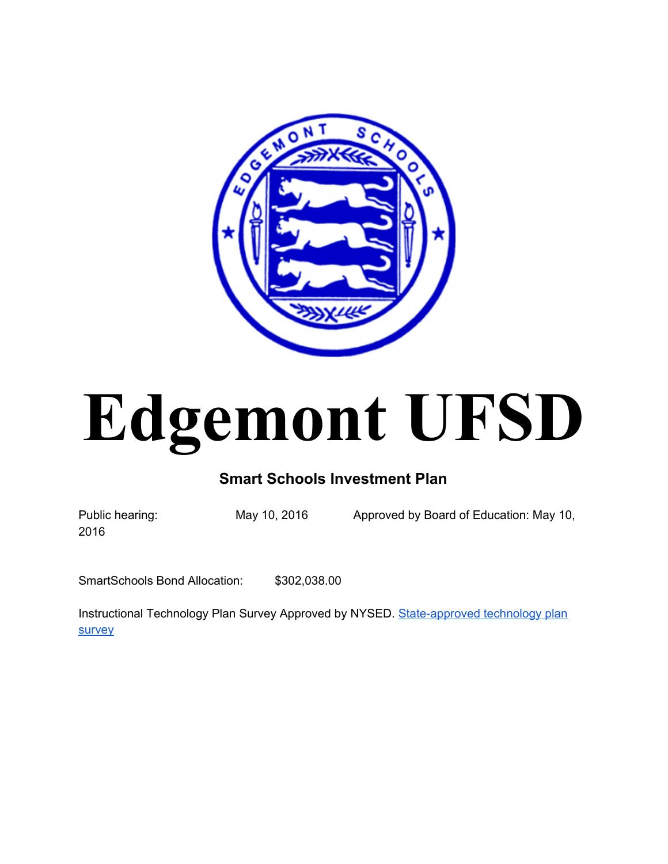

# **Edgemont UFSD**

# **Smart Schools Investment Plan**

2016

Public hearing: May 10, 2016 Approved by Board of Education: May 10,

SmartSchools Bond Allocation: \$302,038.00

Instructional Technology Plan Survey Approved by NYSED. State-approved technology plan [survey](http://www.edgemont.org/www/edgemont/site/hosting/edgemont%20technology%20plan%20survey%20rev2%2010-5-2015.pdf)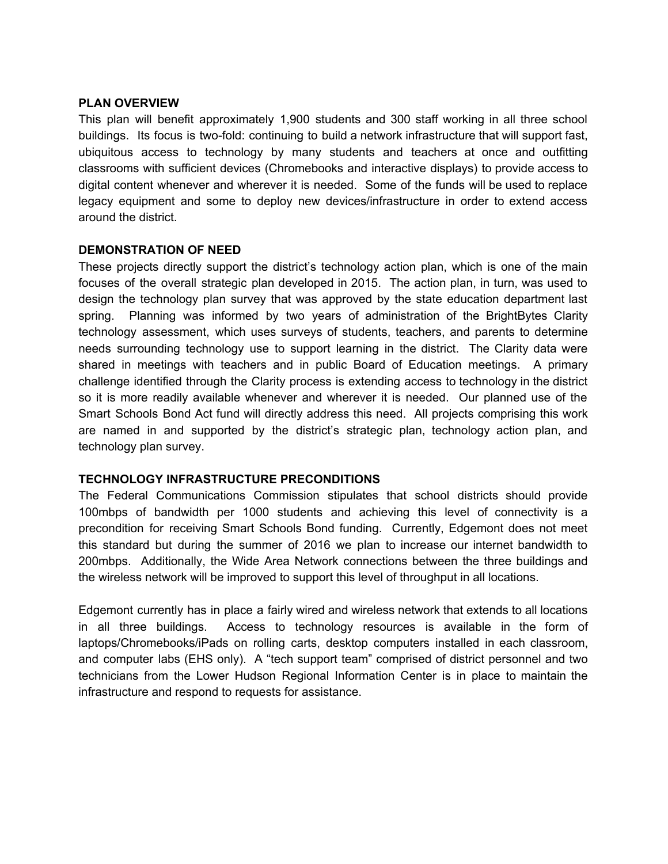#### **PLAN OVERVIEW**

This plan will benefit approximately 1,900 students and 300 staff working in all three school buildings. Its focus is two-fold: continuing to build a network infrastructure that will support fast, ubiquitous access to technology by many students and teachers at once and outfitting classrooms with sufficient devices (Chromebooks and interactive displays) to provide access to digital content whenever and wherever it is needed. Some of the funds will be used to replace legacy equipment and some to deploy new devices/infrastructure in order to extend access around the district.

#### **DEMONSTRATION OF NEED**

These projects directly support the district's technology action plan, which is one of the main focuses of the overall strategic plan developed in 2015. The action plan, in turn, was used to design the technology plan survey that was approved by the state education department last spring. Planning was informed by two years of administration of the BrightBytes Clarity technology assessment, which uses surveys of students, teachers, and parents to determine needs surrounding technology use to support learning in the district. The Clarity data were shared in meetings with teachers and in public Board of Education meetings. A primary challenge identified through the Clarity process is extending access to technology in the district so it is more readily available whenever and wherever it is needed. Our planned use of the Smart Schools Bond Act fund will directly address this need. All projects comprising this work are named in and supported by the district's strategic plan, technology action plan, and technology plan survey.

#### **TECHNOLOGY INFRASTRUCTURE PRECONDITIONS**

The Federal Communications Commission stipulates that school districts should provide 100mbps of bandwidth per 1000 students and achieving this level of connectivity is a precondition for receiving Smart Schools Bond funding. Currently, Edgemont does not meet this standard but during the summer of 2016 we plan to increase our internet bandwidth to 200mbps. Additionally, the Wide Area Network connections between the three buildings and the wireless network will be improved to support this level of throughput in all locations.

Edgemont currently has in place a fairly wired and wireless network that extends to all locations in all three buildings. Access to technology resources is available in the form of laptops/Chromebooks/iPads on rolling carts, desktop computers installed in each classroom, and computer labs (EHS only). A "tech support team" comprised of district personnel and two technicians from the Lower Hudson Regional Information Center is in place to maintain the infrastructure and respond to requests for assistance.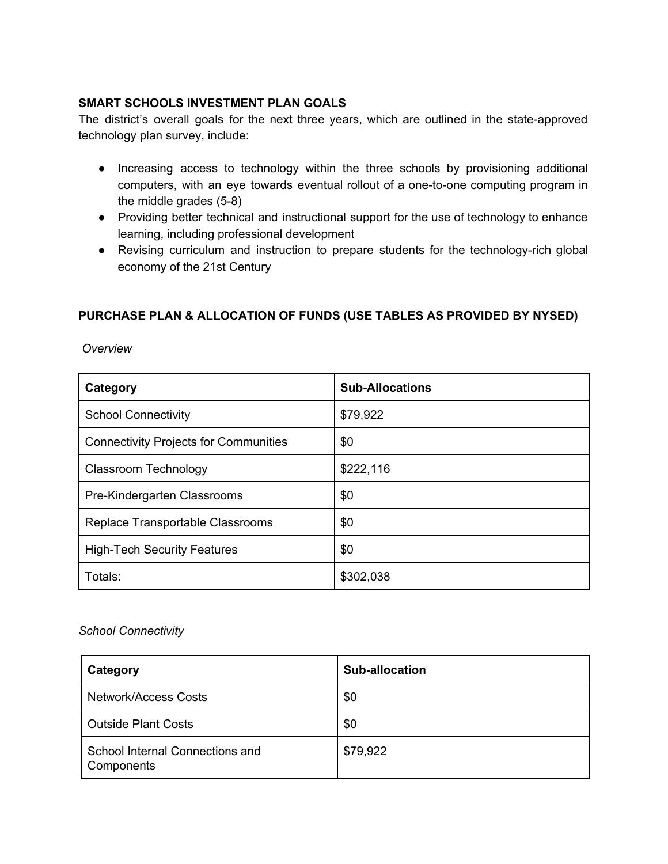#### **SMART SCHOOLS INVESTMENT PLAN GOALS**

The district's overall goals for the next three years, which are outlined in the state-approved technology plan survey, include:

- Increasing access to technology within the three schools by provisioning additional computers, with an eye towards eventual rollout of a one-to-one computing program in the middle grades  $(5-8)$
- Providing better technical and instructional support for the use of technology to enhance learning, including professional development
- Revising curriculum and instruction to prepare students for the technology-rich global economy of the 21st Century

## **PURCHASE PLAN & ALLOCATION OF FUNDS (USE TABLES AS PROVIDED BY NYSED)**

*Overview*

| Category                                     | <b>Sub-Allocations</b> |
|----------------------------------------------|------------------------|
| <b>School Connectivity</b>                   | \$79,922               |
| <b>Connectivity Projects for Communities</b> | \$0                    |
| <b>Classroom Technology</b>                  | \$222,116              |
| Pre-Kindergarten Classrooms                  | \$0                    |
| Replace Transportable Classrooms             | \$0                    |
| <b>High-Tech Security Features</b>           | \$0                    |
| Totals:                                      | \$302,038              |

#### *School Connectivity*

| Category                                      | <b>Sub-allocation</b> |
|-----------------------------------------------|-----------------------|
| <b>Network/Access Costs</b>                   | \$0                   |
| <b>Outside Plant Costs</b>                    | \$0                   |
| School Internal Connections and<br>Components | \$79,922              |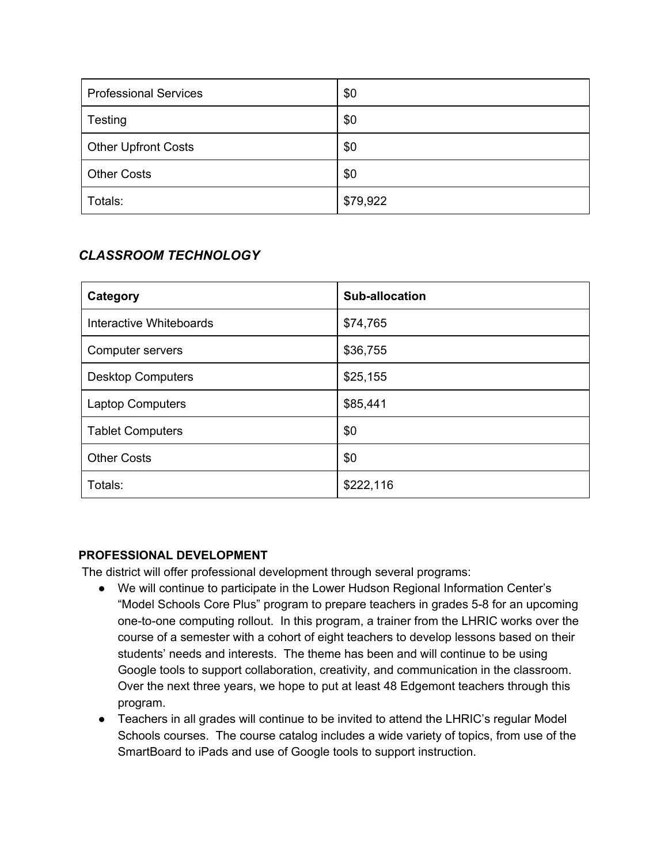| <b>Professional Services</b> | \$0      |
|------------------------------|----------|
| Testing                      | \$0      |
| <b>Other Upfront Costs</b>   | \$0      |
| <b>Other Costs</b>           | \$0      |
| Totals:                      | \$79,922 |

# *CLASSROOM TECHNOLOGY*

| Category                 | <b>Sub-allocation</b> |
|--------------------------|-----------------------|
| Interactive Whiteboards  | \$74,765              |
| Computer servers         | \$36,755              |
| <b>Desktop Computers</b> | \$25,155              |
| <b>Laptop Computers</b>  | \$85,441              |
| <b>Tablet Computers</b>  | \$0                   |
| <b>Other Costs</b>       | \$0                   |
| Totals:                  | \$222,116             |

## **PROFESSIONAL DEVELOPMENT**

The district will offer professional development through several programs:

- We will continue to participate in the Lower Hudson Regional Information Center's "Model Schools Core Plus" program to prepare teachers in grades 5-8 for an upcoming one-to-one computing rollout. In this program, a trainer from the LHRIC works over the course of a semester with a cohort of eight teachers to develop lessons based on their students' needs and interests. The theme has been and will continue to be using Google tools to support collaboration, creativity, and communication in the classroom. Over the next three years, we hope to put at least 48 Edgemont teachers through this program.
- Teachers in all grades will continue to be invited to attend the LHRIC's regular Model Schools courses. The course catalog includes a wide variety of topics, from use of the SmartBoard to iPads and use of Google tools to support instruction.